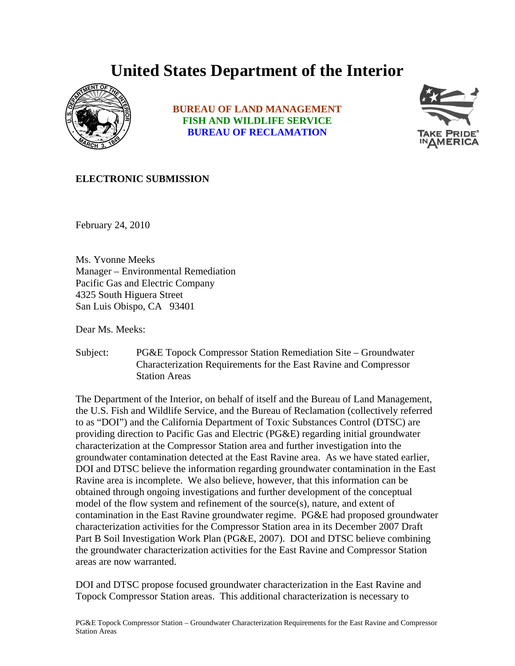## **United States Department of the Interior**



**BUREAU OF LAND MANAGEMENT FISH AND WILDLIFE SERVICE BUREAU OF RECLAMATION**



## **ELECTRONIC SUBMISSION**

February 24, 2010

Ms. Yvonne Meeks Manager – Environmental Remediation Pacific Gas and Electric Company 4325 South Higuera Street San Luis Obispo, CA 93401

Dear Ms. Meeks:

Subject: PG&E Topock Compressor Station Remediation Site – Groundwater Characterization Requirements for the East Ravine and Compressor Station Areas

The Department of the Interior, on behalf of itself and the Bureau of Land Management, the U.S. Fish and Wildlife Service, and the Bureau of Reclamation (collectively referred to as "DOI") and the California Department of Toxic Substances Control (DTSC) are providing direction to Pacific Gas and Electric (PG&E) regarding initial groundwater characterization at the Compressor Station area and further investigation into the groundwater contamination detected at the East Ravine area. As we have stated earlier, DOI and DTSC believe the information regarding groundwater contamination in the East Ravine area is incomplete. We also believe, however, that this information can be obtained through ongoing investigations and further development of the conceptual model of the flow system and refinement of the source(s), nature, and extent of contamination in the East Ravine groundwater regime. PG&E had proposed groundwater characterization activities for the Compressor Station area in its December 2007 Draft Part B Soil Investigation Work Plan (PG&E, 2007). DOI and DTSC believe combining the groundwater characterization activities for the East Ravine and Compressor Station areas are now warranted.

DOI and DTSC propose focused groundwater characterization in the East Ravine and Topock Compressor Station areas. This additional characterization is necessary to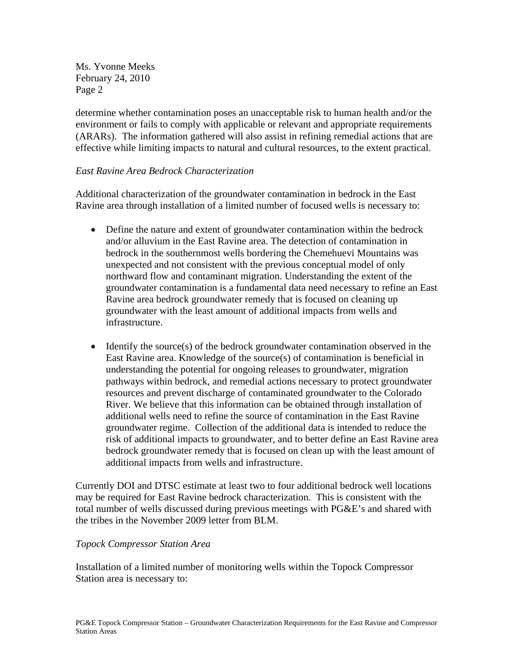Ms. Yvonne Meeks February 24, 2010 Page 2

determine whether contamination poses an unacceptable risk to human health and/or the environment or fails to comply with applicable or relevant and appropriate requirements (ARARs). The information gathered will also assist in refining remedial actions that are effective while limiting impacts to natural and cultural resources, to the extent practical.

## *East Ravine Area Bedrock Characterization*

Additional characterization of the groundwater contamination in bedrock in the East Ravine area through installation of a limited number of focused wells is necessary to:

- Define the nature and extent of groundwater contamination within the bedrock and/or alluvium in the East Ravine area. The detection of contamination in bedrock in the southernmost wells bordering the Chemehuevi Mountains was unexpected and not consistent with the previous conceptual model of only northward flow and contaminant migration. Understanding the extent of the groundwater contamination is a fundamental data need necessary to refine an East Ravine area bedrock groundwater remedy that is focused on cleaning up groundwater with the least amount of additional impacts from wells and infrastructure.
- Identify the source(s) of the bedrock groundwater contamination observed in the East Ravine area. Knowledge of the source(s) of contamination is beneficial in understanding the potential for ongoing releases to groundwater, migration pathways within bedrock, and remedial actions necessary to protect groundwater resources and prevent discharge of contaminated groundwater to the Colorado River. We believe that this information can be obtained through installation of additional wells need to refine the source of contamination in the East Ravine groundwater regime. Collection of the additional data is intended to reduce the risk of additional impacts to groundwater, and to better define an East Ravine area bedrock groundwater remedy that is focused on clean up with the least amount of additional impacts from wells and infrastructure.

Currently DOI and DTSC estimate at least two to four additional bedrock well locations may be required for East Ravine bedrock characterization. This is consistent with the total number of wells discussed during previous meetings with PG&E's and shared with the tribes in the November 2009 letter from BLM.

## *Topock Compressor Station Area*

Installation of a limited number of monitoring wells within the Topock Compressor Station area is necessary to: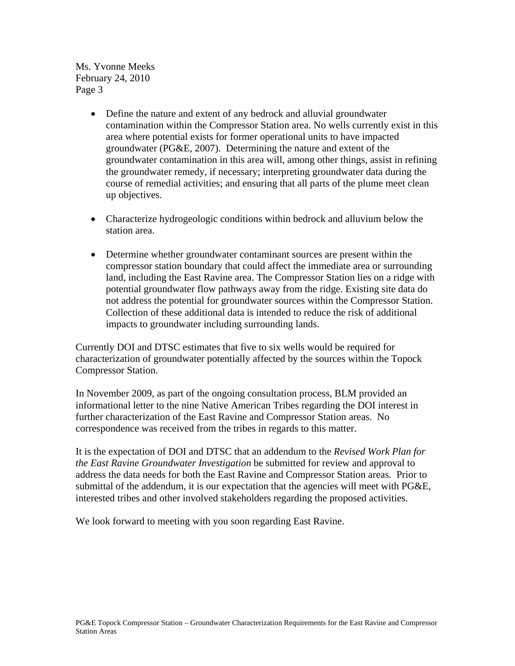Ms. Yvonne Meeks February 24, 2010 Page 3

- Define the nature and extent of any bedrock and alluvial groundwater contamination within the Compressor Station area. No wells currently exist in this area where potential exists for former operational units to have impacted groundwater (PG&E, 2007). Determining the nature and extent of the groundwater contamination in this area will, among other things, assist in refining the groundwater remedy, if necessary; interpreting groundwater data during the course of remedial activities; and ensuring that all parts of the plume meet clean up objectives.
- Characterize hydrogeologic conditions within bedrock and alluvium below the station area.
- Determine whether groundwater contaminant sources are present within the compressor station boundary that could affect the immediate area or surrounding land, including the East Ravine area. The Compressor Station lies on a ridge with potential groundwater flow pathways away from the ridge. Existing site data do not address the potential for groundwater sources within the Compressor Station. Collection of these additional data is intended to reduce the risk of additional impacts to groundwater including surrounding lands.

Currently DOI and DTSC estimates that five to six wells would be required for characterization of groundwater potentially affected by the sources within the Topock Compressor Station.

In November 2009, as part of the ongoing consultation process, BLM provided an informational letter to the nine Native American Tribes regarding the DOI interest in further characterization of the East Ravine and Compressor Station areas. No correspondence was received from the tribes in regards to this matter.

It is the expectation of DOI and DTSC that an addendum to the *Revised Work Plan for the East Ravine Groundwater Investigation* be submitted for review and approval to address the data needs for both the East Ravine and Compressor Station areas. Prior to submittal of the addendum, it is our expectation that the agencies will meet with PG&E, interested tribes and other involved stakeholders regarding the proposed activities.

We look forward to meeting with you soon regarding East Ravine.